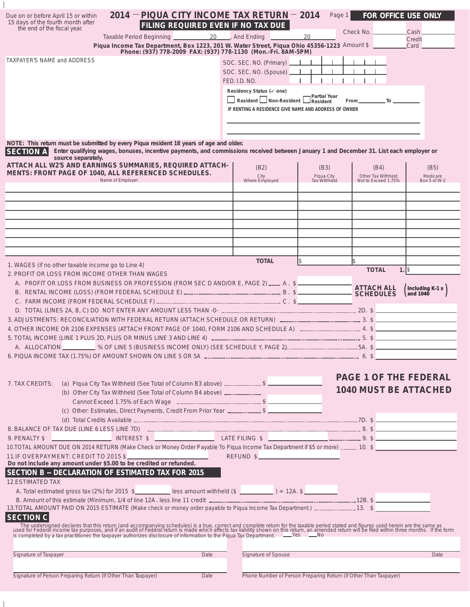| Due on or before April 15 or within<br>15 days of the fourth month after<br>the end of the fiscal year.                                                                                                                                                                                           | 2014 - PIQUA CITY INCOME TAX RETURN - 2014<br>FILING REQUIRED EVEN IF NO TAX DUE<br>Taxable Period Beginning                                                                                                                  |      | 20 ____, And Ending                                                                                                                                                                           | Page 1<br>20                       | FOR OFFICE USE ONLY<br>Check No. _                | Cash<br>Credit                                      |
|---------------------------------------------------------------------------------------------------------------------------------------------------------------------------------------------------------------------------------------------------------------------------------------------------|-------------------------------------------------------------------------------------------------------------------------------------------------------------------------------------------------------------------------------|------|-----------------------------------------------------------------------------------------------------------------------------------------------------------------------------------------------|------------------------------------|---------------------------------------------------|-----------------------------------------------------|
|                                                                                                                                                                                                                                                                                                   | Piqua Income Tax Department, Box 1223, 201 W. Water Street, Piqua Ohio 45356-1223 Amount \$ Phone: (937) 778-2009 FAX: (937) 778-1130 (Mon.-Fri. 8AM-5PM)                                                                     |      |                                                                                                                                                                                               |                                    |                                                   | Card                                                |
| TAXPAYER'S NAME and ADDRESS                                                                                                                                                                                                                                                                       |                                                                                                                                                                                                                               |      | SOC. SEC. NO. (Primary) _<br>SOC. SEC. NO. (Spouse) _<br>FED. I.D. NO.<br>Residency Status (√ one)<br>Resident Non-Resident Resident<br>IF RENTING A RESIDENCE GIVE NAME AND ADDRESS OF OWNER |                                    |                                                   |                                                     |
| NOTE: This return must be submitted by every Piqua resident 18 years of age and older.<br><b>SECTION A</b><br>source separately.<br>ATTACH ALL W2'S AND EARNINGS SUMMARIES, REQUIRED ATTACH-<br>MENTS: FRONT PAGE OF 1040, ALL REFERENCED SCHEDULES.                                              | Enter qualifying wages, bonuses, incentive payments, and commissions received between January 1 and December 31. List each employer or<br>Name of Employer                                                                    |      | (B2)<br>City<br>Where Employed                                                                                                                                                                | (B3)<br>Piqua City<br>Tax Withheld | (B4)<br>Other Tax Withheld<br>Not to Exceed 1.75% | (B5)<br>Medicare<br>Box 5 of W-2                    |
|                                                                                                                                                                                                                                                                                                   |                                                                                                                                                                                                                               |      |                                                                                                                                                                                               |                                    |                                                   |                                                     |
|                                                                                                                                                                                                                                                                                                   |                                                                                                                                                                                                                               |      |                                                                                                                                                                                               |                                    |                                                   |                                                     |
|                                                                                                                                                                                                                                                                                                   |                                                                                                                                                                                                                               |      |                                                                                                                                                                                               |                                    |                                                   |                                                     |
|                                                                                                                                                                                                                                                                                                   |                                                                                                                                                                                                                               |      |                                                                                                                                                                                               |                                    |                                                   |                                                     |
|                                                                                                                                                                                                                                                                                                   | A. PROFIT OR LOSS FROM BUSINESS OR PROFESSION (FROM SEC D AND/OR E, PAGE 2) _____ A . \$ ______                                                                                                                               |      |                                                                                                                                                                                               |                                    | ATTACH ALL<br>SCHEDULES                           | $\sqrt{\ }$ including K-1 s $\sqrt{\ }$<br>and 1040 |
| 7. TAX CREDITS: (a) Piqua City Tax Withheld (See Total of Column B3 above) _________________________                                                                                                                                                                                              | (b) Other City Tax Withheld (See Total of Column B4 above) ________________                                                                                                                                                   |      |                                                                                                                                                                                               |                                    | PAGE 1 OF THE FEDERAL<br>1040 MUST BE ATTACHED    |                                                     |
|                                                                                                                                                                                                                                                                                                   |                                                                                                                                                                                                                               |      |                                                                                                                                                                                               |                                    |                                                   |                                                     |
|                                                                                                                                                                                                                                                                                                   |                                                                                                                                                                                                                               |      |                                                                                                                                                                                               |                                    |                                                   |                                                     |
| 10. TOTAL AMOUNT DUE ON 2014 RETURN (Make Check or Money Order Payable To Piqua Income Tax Department if \$5 or more)  10. \$<br>11.IF OVERPAYMENT: CREDIT TO 2015 \$<br>Do not include any amount under \$5.00 to be credited or refunded.<br>SECTION B -- DECLARATION OF ESTIMATED TAX FOR 2015 |                                                                                                                                                                                                                               |      | $REFUND$ \$                                                                                                                                                                                   |                                    |                                                   |                                                     |
| <b>12.ESTIMATED TAX</b>                                                                                                                                                                                                                                                                           | A. Total estimated gross tax (2%) for 2015 $\frac{1}{2}$ less amount withheld $\frac{1}{2}$ = 12A. $\frac{1}{2}$ = 12A. $\frac{1}{2}$                                                                                         |      |                                                                                                                                                                                               |                                    |                                                   |                                                     |
| 13. TOTAL AMOUNT PAID ON 2015 ESTIMATE (Make check or money order payable to Piqua Income Tax Department.) __________________13. \$<br><b>SECTION C</b>                                                                                                                                           |                                                                                                                                                                                                                               |      |                                                                                                                                                                                               |                                    |                                                   |                                                     |
|                                                                                                                                                                                                                                                                                                   | The undersigned declares that this return (and accompanying schedules) is a true, correct and complete return for the taxable period stated and figures used herein are the same as used for Federal income tax purposes, and |      |                                                                                                                                                                                               |                                    |                                                   |                                                     |
| Signature of Taxpayer                                                                                                                                                                                                                                                                             |                                                                                                                                                                                                                               | Date | Signature of Spouse                                                                                                                                                                           |                                    |                                                   | Date                                                |
|                                                                                                                                                                                                                                                                                                   |                                                                                                                                                                                                                               |      |                                                                                                                                                                                               |                                    |                                                   |                                                     |
| Signature of Person Preparing Return (If Other Than Taxpayer)                                                                                                                                                                                                                                     |                                                                                                                                                                                                                               | Date | Phone Number of Person Preparing Return (If Other Than Taxpayer)                                                                                                                              |                                    |                                                   |                                                     |